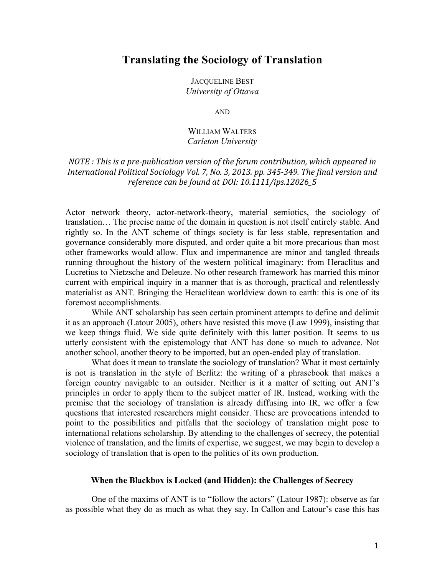# **Translating the Sociology of Translation**

JACOUELINE BEST *University of Ottawa*

AND

### WILLIAM WALTERS *Carleton University*

## *NOTE* : This is a pre-publication version of the forum contribution, which appeared in *International Political Sociology Vol. 7, No. 3, 2013. pp. 345-349. The final version and reference can be found at DOI: 10.1111/ips.12026\_5*

Actor network theory, actor-network-theory, material semiotics, the sociology of translation… The precise name of the domain in question is not itself entirely stable. And rightly so. In the ANT scheme of things society is far less stable, representation and governance considerably more disputed, and order quite a bit more precarious than most other frameworks would allow. Flux and impermanence are minor and tangled threads running throughout the history of the western political imaginary: from Heraclitus and Lucretius to Nietzsche and Deleuze. No other research framework has married this minor current with empirical inquiry in a manner that is as thorough, practical and relentlessly materialist as ANT. Bringing the Heraclitean worldview down to earth: this is one of its foremost accomplishments.

While ANT scholarship has seen certain prominent attempts to define and delimit it as an approach (Latour 2005), others have resisted this move (Law 1999), insisting that we keep things fluid. We side quite definitely with this latter position. It seems to us utterly consistent with the epistemology that ANT has done so much to advance. Not another school, another theory to be imported, but an open-ended play of translation.

What does it mean to translate the sociology of translation? What it most certainly is not is translation in the style of Berlitz: the writing of a phrasebook that makes a foreign country navigable to an outsider. Neither is it a matter of setting out ANT's principles in order to apply them to the subject matter of IR. Instead, working with the premise that the sociology of translation is already diffusing into IR, we offer a few questions that interested researchers might consider. These are provocations intended to point to the possibilities and pitfalls that the sociology of translation might pose to international relations scholarship. By attending to the challenges of secrecy, the potential violence of translation, and the limits of expertise, we suggest, we may begin to develop a sociology of translation that is open to the politics of its own production.

#### **When the Blackbox is Locked (and Hidden): the Challenges of Secrecy**

One of the maxims of ANT is to "follow the actors" (Latour 1987): observe as far as possible what they do as much as what they say. In Callon and Latour's case this has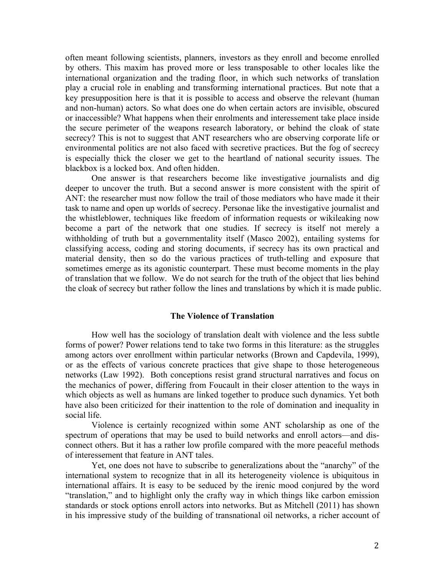often meant following scientists, planners, investors as they enroll and become enrolled by others. This maxim has proved more or less transposable to other locales like the international organization and the trading floor, in which such networks of translation play a crucial role in enabling and transforming international practices. But note that a key presupposition here is that it is possible to access and observe the relevant (human and non-human) actors. So what does one do when certain actors are invisible, obscured or inaccessible? What happens when their enrolments and interessement take place inside the secure perimeter of the weapons research laboratory, or behind the cloak of state secrecy? This is not to suggest that ANT researchers who are observing corporate life or environmental politics are not also faced with secretive practices. But the fog of secrecy is especially thick the closer we get to the heartland of national security issues. The blackbox is a locked box. And often hidden.

One answer is that researchers become like investigative journalists and dig deeper to uncover the truth. But a second answer is more consistent with the spirit of ANT: the researcher must now follow the trail of those mediators who have made it their task to name and open up worlds of secrecy. Personae like the investigative journalist and the whistleblower, techniques like freedom of information requests or wikileaking now become a part of the network that one studies. If secrecy is itself not merely a withholding of truth but a governmentality itself (Masco 2002), entailing systems for classifying access, coding and storing documents, if secrecy has its own practical and material density, then so do the various practices of truth-telling and exposure that sometimes emerge as its agonistic counterpart. These must become moments in the play of translation that we follow. We do not search for the truth of the object that lies behind the cloak of secrecy but rather follow the lines and translations by which it is made public.

#### **The Violence of Translation**

How well has the sociology of translation dealt with violence and the less subtle forms of power? Power relations tend to take two forms in this literature: as the struggles among actors over enrollment within particular networks (Brown and Capdevila, 1999), or as the effects of various concrete practices that give shape to those heterogeneous networks (Law 1992). Both conceptions resist grand structural narratives and focus on the mechanics of power, differing from Foucault in their closer attention to the ways in which objects as well as humans are linked together to produce such dynamics. Yet both have also been criticized for their inattention to the role of domination and inequality in social life.

Violence is certainly recognized within some ANT scholarship as one of the spectrum of operations that may be used to build networks and enroll actors—and disconnect others. But it has a rather low profile compared with the more peaceful methods of interessement that feature in ANT tales.

Yet, one does not have to subscribe to generalizations about the "anarchy" of the international system to recognize that in all its heterogeneity violence is ubiquitous in international affairs. It is easy to be seduced by the irenic mood conjured by the word "translation," and to highlight only the crafty way in which things like carbon emission standards or stock options enroll actors into networks. But as Mitchell (2011) has shown in his impressive study of the building of transnational oil networks, a richer account of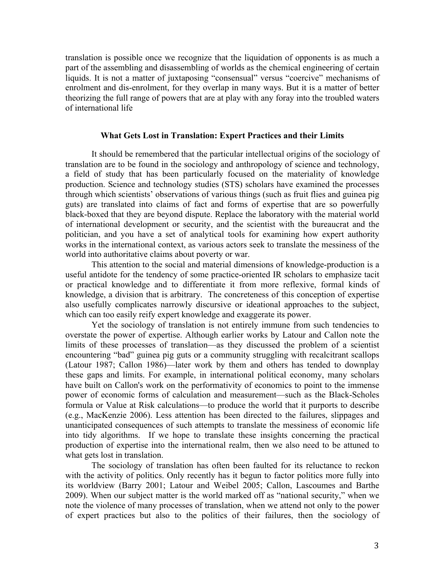translation is possible once we recognize that the liquidation of opponents is as much a part of the assembling and disassembling of worlds as the chemical engineering of certain liquids. It is not a matter of juxtaposing "consensual" versus "coercive" mechanisms of enrolment and dis-enrolment, for they overlap in many ways. But it is a matter of better theorizing the full range of powers that are at play with any foray into the troubled waters of international life

#### **What Gets Lost in Translation: Expert Practices and their Limits**

It should be remembered that the particular intellectual origins of the sociology of translation are to be found in the sociology and anthropology of science and technology, a field of study that has been particularly focused on the materiality of knowledge production. Science and technology studies (STS) scholars have examined the processes through which scientists' observations of various things (such as fruit flies and guinea pig guts) are translated into claims of fact and forms of expertise that are so powerfully black-boxed that they are beyond dispute. Replace the laboratory with the material world of international development or security, and the scientist with the bureaucrat and the politician, and you have a set of analytical tools for examining how expert authority works in the international context, as various actors seek to translate the messiness of the world into authoritative claims about poverty or war.

This attention to the social and material dimensions of knowledge-production is a useful antidote for the tendency of some practice-oriented IR scholars to emphasize tacit or practical knowledge and to differentiate it from more reflexive, formal kinds of knowledge, a division that is arbitrary. The concreteness of this conception of expertise also usefully complicates narrowly discursive or ideational approaches to the subject, which can too easily reify expert knowledge and exaggerate its power.

Yet the sociology of translation is not entirely immune from such tendencies to overstate the power of expertise. Although earlier works by Latour and Callon note the limits of these processes of translation—as they discussed the problem of a scientist encountering "bad" guinea pig guts or a community struggling with recalcitrant scallops (Latour 1987; Callon 1986)—later work by them and others has tended to downplay these gaps and limits. For example, in international political economy, many scholars have built on Callon's work on the performativity of economics to point to the immense power of economic forms of calculation and measurement—such as the Black-Scholes formula or Value at Risk calculations—to produce the world that it purports to describe (e.g., MacKenzie 2006). Less attention has been directed to the failures, slippages and unanticipated consequences of such attempts to translate the messiness of economic life into tidy algorithms. If we hope to translate these insights concerning the practical production of expertise into the international realm, then we also need to be attuned to what gets lost in translation.

The sociology of translation has often been faulted for its reluctance to reckon with the activity of politics. Only recently has it begun to factor politics more fully into its worldview (Barry 2001; Latour and Weibel 2005; Callon, Lascoumes and Barthe 2009). When our subject matter is the world marked off as "national security," when we note the violence of many processes of translation, when we attend not only to the power of expert practices but also to the politics of their failures, then the sociology of